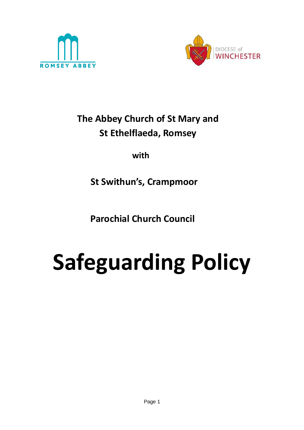



# **The Abbey Church of St Mary and St Ethelflaeda, Romsey**

**with**

 **St Swithun's, Crampmoor**

 **Parochial Church Council**

# **Safeguarding Policy**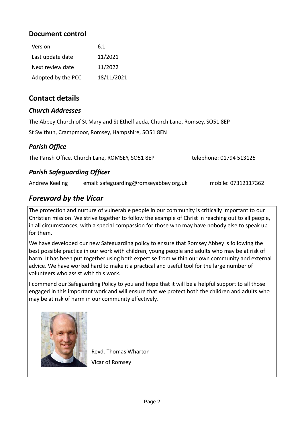#### **Document control**

| Version            | 6.1        |
|--------------------|------------|
| Last update date   | 11/2021    |
| Next review date   | 11/2022    |
| Adopted by the PCC | 18/11/2021 |

### **Contact details**

#### *Church Addresses*

The Abbey Church of St Mary and St Ethelflaeda, Church Lane, Romsey, SO51 8EP

St Swithun, Crampmoor, Romsey, Hampshire, SO51 8EN

#### *Parish Office*

The Parish Office, Church Lane, ROMSEY, SO51 8EP telephone: 01794 513125

#### *Parish Safeguarding Officer*

Andrew Keeling email: [safeguarding@romseyabbey.org.uk](mailto:safeguarding@romseyabbey.org.uk) mobile: 07312117362

## *Foreword by the Vicar*

The protection and nurture of vulnerable people in our community is critically important to our Christian mission. We strive together to follow the example of Christ in reaching out to all people, in all circumstances, with a special compassion for those who may have nobody else to speak up for them.

We have developed our new Safeguarding policy to ensure that Romsey Abbey is following the best possible practice in our work with children, young people and adults who may be at risk of harm. It has been put together using both expertise from within our own community and external advice. We have worked hard to make it a practical and useful tool for the large number of volunteers who assist with this work.

I commend our Safeguarding Policy to you and hope that it will be a helpful support to all those engaged in this important work and will ensure that we protect both the children and adults who may be at risk of harm in our community effectively.



 Revd. Thomas Wharton Vicar of Romsey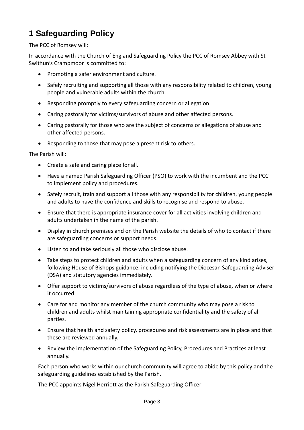# **1 Safeguarding Policy**

The PCC of Romsey will:

In accordance with the Church of England Safeguarding Policy the PCC of Romsey Abbey with St Swithun's Crampmoor is committed to:

- Promoting a safer environment and culture.
- Safely recruiting and supporting all those with any responsibility related to children, young people and vulnerable adults within the church.
- Responding promptly to every safeguarding concern or allegation.
- Caring pastorally for victims/survivors of abuse and other affected persons.
- Caring pastorally for those who are the subject of concerns or allegations of abuse and other affected persons.
- Responding to those that may pose a present risk to others.

The Parish will:

- Create a safe and caring place for all.
- Have a named Parish Safeguarding Officer (PSO) to work with the incumbent and the PCC to implement policy and procedures.
- Safely recruit, train and support all those with any responsibility for children, young people and adults to have the confidence and skills to recognise and respond to abuse.
- Ensure that there is appropriate insurance cover for all activities involving children and adults undertaken in the name of the parish.
- Display in church premises and on the Parish website the details of who to contact if there are safeguarding concerns or support needs.
- Listen to and take seriously all those who disclose abuse.
- Take steps to protect children and adults when a safeguarding concern of any kind arises, following House of Bishops guidance, including notifying the Diocesan Safeguarding Adviser (DSA) and statutory agencies immediately.
- Offer support to victims/survivors of abuse regardless of the type of abuse, when or where it occurred.
- Care for and monitor any member of the church community who may pose a risk to children and adults whilst maintaining appropriate confidentiality and the safety of all parties.
- Ensure that health and safety policy, procedures and risk assessments are in place and that these are reviewed annually.
- Review the implementation of the Safeguarding Policy, Procedures and Practices at least annually.

Each person who works within our church community will agree to abide by this policy and the safeguarding guidelines established by the Parish.

The PCC appoints Nigel Herriott as the Parish Safeguarding Officer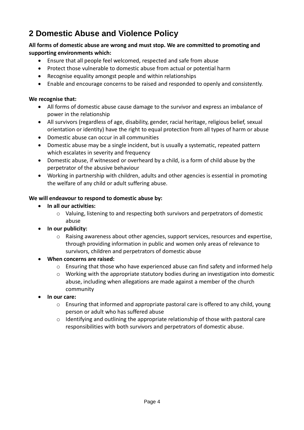# **2 Domestic Abuse and Violence Policy**

#### **All forms of domestic abuse are wrong and must stop. We are committed to promoting and supporting environments which:**

- Ensure that all people feel welcomed, respected and safe from abuse
- Protect those vulnerable to domestic abuse from actual or potential harm
- Recognise equality amongst people and within relationships
- Enable and encourage concerns to be raised and responded to openly and consistently.

#### **We recognise that:**

- All forms of domestic abuse cause damage to the survivor and express an imbalance of power in the relationship
- All survivors (regardless of age, disability, gender, racial heritage, religious belief, sexual orientation or identity) have the right to equal protection from all types of harm or abuse
- Domestic abuse can occur in all communities
- Domestic abuse may be a single incident, but is usually a systematic, repeated pattern which escalates in severity and frequency
- Domestic abuse, if witnessed or overheard by a child, is a form of child abuse by the perpetrator of the abusive behaviour
- Working in partnership with children, adults and other agencies is essential in promoting the welfare of any child or adult suffering abuse.

#### **We will endeavour to respond to domestic abuse by:**

- **In all our activities:**
	- $\circ$  Valuing, listening to and respecting both survivors and perpetrators of domestic abuse
- **In our publicity:**
	- o Raising awareness about other agencies, support services, resources and expertise, through providing information in public and women only areas of relevance to survivors, children and perpetrators of domestic abuse
- **When concerns are raised:**
	- $\circ$  Ensuring that those who have experienced abuse can find safety and informed help
	- o Working with the appropriate statutory bodies during an investigation into domestic abuse, including when allegations are made against a member of the church community
- **In our care:**
	- o Ensuring that informed and appropriate pastoral care is offered to any child, young person or adult who has suffered abuse
	- $\circ$  Identifying and outlining the appropriate relationship of those with pastoral care responsibilities with both survivors and perpetrators of domestic abuse.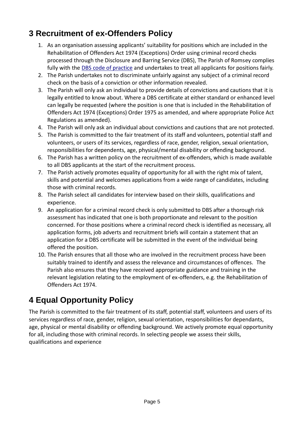# **3 Recruitment of ex-Offenders Policy**

- 1. As an organisation assessing applicants' suitability for positions which are included in the Rehabilitation of Offenders Act 1974 (Exceptions) Order using criminal record checks processed through the Disclosure and Barring Service (DBS), The Parish of Romsey complies fully with the [DBS code of practice](https://www.gov.uk/government/publications/dbs-code-of-practice) and undertakes to treat all applicants for positions fairly.
- 2. The Parish undertakes not to discriminate unfairly against any subject of a criminal record check on the basis of a conviction or other information revealed.
- 3. The Parish will only ask an individual to provide details of convictions and cautions that it is legally entitled to know about. Where a DBS certificate at either standard or enhanced level can legally be requested (where the position is one that is included in the Rehabilitation of Offenders Act 1974 (Exceptions) Order 1975 as amended, and where appropriate Police Act Regulations as amended).
- 4. The Parish will only ask an individual about convictions and cautions that are not protected.
- 5. The Parish is committed to the fair treatment of its staff and volunteers, potential staff and volunteers, or users of its services, regardless of race, gender, religion, sexual orientation, responsibilities for dependents, age, physical/mental disability or offending background.
- 6. The Parish has a written policy on the recruitment of ex-offenders, which is made available to all DBS applicants at the start of the recruitment process.
- 7. The Parish actively promotes equality of opportunity for all with the right mix of talent, skills and potential and welcomes applications from a wide range of candidates, including those with criminal records.
- 8. The Parish select all candidates for interview based on their skills, qualifications and experience.
- 9. An application for a criminal record check is only submitted to DBS after a thorough risk assessment has indicated that one is both proportionate and relevant to the position concerned. For those positions where a criminal record check is identified as necessary, all application forms, job adverts and recruitment briefs will contain a statement that an application for a DBS certificate will be submitted in the event of the individual being offered the position.
- 10. The Parish ensures that all those who are involved in the recruitment process have been suitably trained to identify and assess the relevance and circumstances of offences. The Parish also ensures that they have received appropriate guidance and training in the relevant legislation relating to the employment of ex-offenders, e.g. the Rehabilitation of Offenders Act 1974.

# **4 Equal Opportunity Policy**

The Parish is committed to the fair treatment of its staff, potential staff, volunteers and users of its services regardless of race, gender, religion, sexual orientation, responsibilities for dependants, age, physical or mental disability or offending background. We actively promote equal opportunity for all, including those with criminal records. In selecting people we assess their skills, qualifications and experience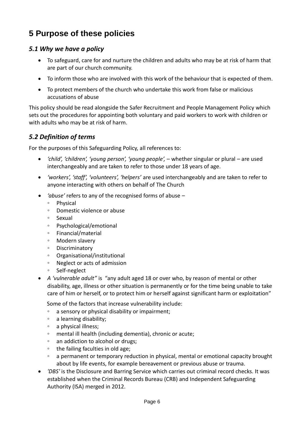# **5 Purpose of these policies**

#### *5.1 Why we have a policy*

- To safeguard, care for and nurture the children and adults who may be at risk of harm that are part of our church community.
- To inform those who are involved with this work of the behaviour that is expected of them.
- To protect members of the church who undertake this work from false or malicious accusations of abuse

This policy should be read alongside the Safer Recruitment and People Management Policy which sets out the procedures for appointing both voluntary and paid workers to work with children or with adults who may be at risk of harm.

#### *5.2 Definition of terms*

For the purposes of this Safeguarding Policy, all references to:

- *'child', 'children', 'young person', 'young people',* whether singular or plural are used interchangeably and are taken to refer to those under 18 years of age.
- *'workers', 'staff', 'volunteers', 'helpers'* are used interchangeably and are taken to refer to anyone interacting with others on behalf of The Church
- *'abuse'* refers to any of the recognised forms of abuse
	- Physical
	- Domestic violence or abuse
	- Sexual
	- Psychological/emotional
	- Financial/material
	- Modern slavery
	- Discriminatory
	- Organisational/institutional
	- Neglect or acts of admission
	- Self-neglect
- *A 'vulnerable adult"* is "any adult aged 18 or over who, by reason of mental or other disability, age, illness or other situation is permanently or for the time being unable to take care of him or herself, or to protect him or herself against significant harm or exploitation"

Some of the factors that increase vulnerability include:

- a sensory or physical disability or impairment;
- a learning disability;
- a physical illness;
- mental ill health (including dementia), chronic or acute;
- an addiction to alcohol or drugs;
- the failing faculties in old age;
- a permanent or temporary reduction in physical, mental or emotional capacity brought about by life events, for example bereavement or previous abuse or trauma.
- *'DBS'* is the Disclosure and Barring Service which carries out criminal record checks. It was established when the Criminal Records Bureau (CRB) and Independent Safeguarding Authority (ISA) merged in 2012.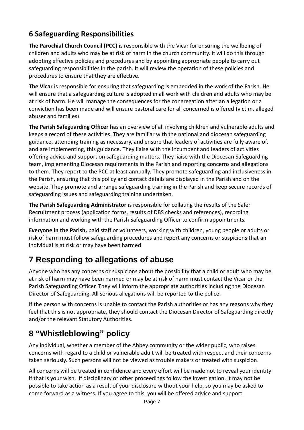## **6 Safeguarding Responsibilities**

**The Parochial Church Council (PCC)** is responsible with the Vicar for ensuring the wellbeing of children and adults who may be at risk of harm in the church community. It will do this through adopting effective policies and procedures and by appointing appropriate people to carry out safeguarding responsibilities in the parish. It will review the operation of these policies and procedures to ensure that they are effective.

**The Vicar** is responsible for ensuring that safeguarding is embedded in the work of the Parish. He will ensure that a safeguarding culture is adopted in all work with children and adults who may be at risk of harm. He will manage the consequences for the congregation after an allegation or a conviction has been made and will ensure pastoral care for all concerned is offered (victim, alleged abuser and families).

**The Parish Safeguarding Officer** has an overview of all involving children and vulnerable adults and keeps a record of these activities. They are familiar with the national and diocesan safeguarding guidance, attending training as necessary, and ensure that leaders of activities are fully aware of, and are implementing, this guidance. They liaise with the incumbent and leaders of activities offering advice and support on safeguarding matters. They liaise with the Diocesan Safeguarding team, implementing Diocesan requirements in the Parish and reporting concerns and allegations to them. They report to the PCC at least annually. They promote safeguarding and inclusiveness in the Parish, ensuring that this policy and contact details are displayed in the Parish and on the website. They promote and arrange safeguarding training in the Parish and keep secure records of safeguarding issues and safeguarding training undertaken.

**The Parish Safeguarding Administrator** is responsible for collating the results of the Safer Recruitment process (application forms, results of DBS checks and references), recording information and working with the Parish Safeguarding Officer to confirm appointments.

**Everyone in the Parish,** paid staff or volunteers, working with children, young people or adults or risk of harm must follow safeguarding procedures and report any concerns or suspicions that an individual is at risk or may have been harmed

# **7 Responding to allegations of abuse**

Anyone who has any concerns or suspicions about the possibility that a child or adult who may be at risk of harm may have been harmed or may be at risk of harm must contact the Vicar or the Parish Safeguarding Officer. They will inform the appropriate authorities including the Diocesan Director of Safeguarding. All serious allegations will be reported to the police.

If the person with concerns is unable to contact the Parish authorities or has any reasons why they feel that this is not appropriate, they should contact the Diocesan Director of Safeguarding directly and/or the relevant Statutory Authorities.

# **8 "Whistleblowing" policy**

Any individual, whether a member of the Abbey community or the wider public, who raises concerns with regard to a child or vulnerable adult will be treated with respect and their concerns taken seriously. Such persons will not be viewed as trouble makers or treated with suspicion.

All concerns will be treated in confidence and every effort will be made not to reveal your identity if that is your wish. If disciplinary or other proceedings follow the investigation, it may not be possible to take action as a result of your disclosure without your help, so you may be asked to come forward as a witness. If you agree to this, you will be offered advice and support.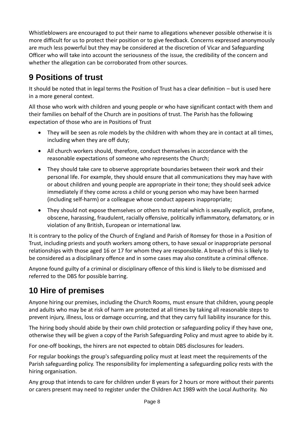Whistleblowers are encouraged to put their name to allegations whenever possible otherwise it is more difficult for us to protect their position or to give feedback. Concerns expressed anonymously are much less powerful but they may be considered at the discretion of Vicar and Safeguarding Officer who will take into account the seriousness of the issue, the credibility of the concern and whether the allegation can be corroborated from other sources.

# **9 Positions of trust**

It should be noted that in legal terms the Position of Trust has a clear definition – but is used here in a more general context.

All those who work with children and young people or who have significant contact with them and their families on behalf of the Church are in positions of trust. The Parish has the following expectation of those who are in Positions of Trust

- They will be seen as role models by the children with whom they are in contact at all times, including when they are off duty;
- All church workers should, therefore, conduct themselves in accordance with the reasonable expectations of someone who represents the Church;
- They should take care to observe appropriate boundaries between their work and their personal life. For example, they should ensure that all communications they may have with or about children and young people are appropriate in their tone; they should seek advice immediately if they come across a child or young person who may have been harmed (including self-harm) or a colleague whose conduct appears inappropriate;
- They should not expose themselves or others to material which is sexually explicit, profane, obscene, harassing, fraudulent, racially offensive, politically inflammatory, defamatory, or in violation of any British, European or international law.

It is contrary to the policy of the Church of England and Parish of Romsey for those in a Position of Trust, including priests and youth workers among others, to have sexual or inappropriate personal relationships with those aged 16 or 17 for whom they are responsible. A breach of this is likely to be considered as a disciplinary offence and in some cases may also constitute a criminal offence.

Anyone found guilty of a criminal or disciplinary offence of this kind is likely to be dismissed and referred to the DBS for possible barring.

# **10 Hire of premises**

Anyone hiring our premises, including the Church Rooms, must ensure that children, young people and adults who may be at risk of harm are protected at all times by taking all reasonable steps to prevent injury, illness, loss or damage occurring, and that they carry full liability insurance for this.

The hiring body should abide by their own child protection or safeguarding policy if they have one, otherwise they will be given a copy of the Parish Safeguarding Policy and must agree to abide by it.

For one-off bookings, the hirers are not expected to obtain DBS disclosures for leaders.

For regular bookings the group's safeguarding policy must at least meet the requirements of the Parish safeguarding policy. The responsibility for implementing a safeguarding policy rests with the hiring organisation.

Any group that intends to care for children under 8 years for 2 hours or more without their parents or carers present may need to register under the Children Act 1989 with the Local Authority. No